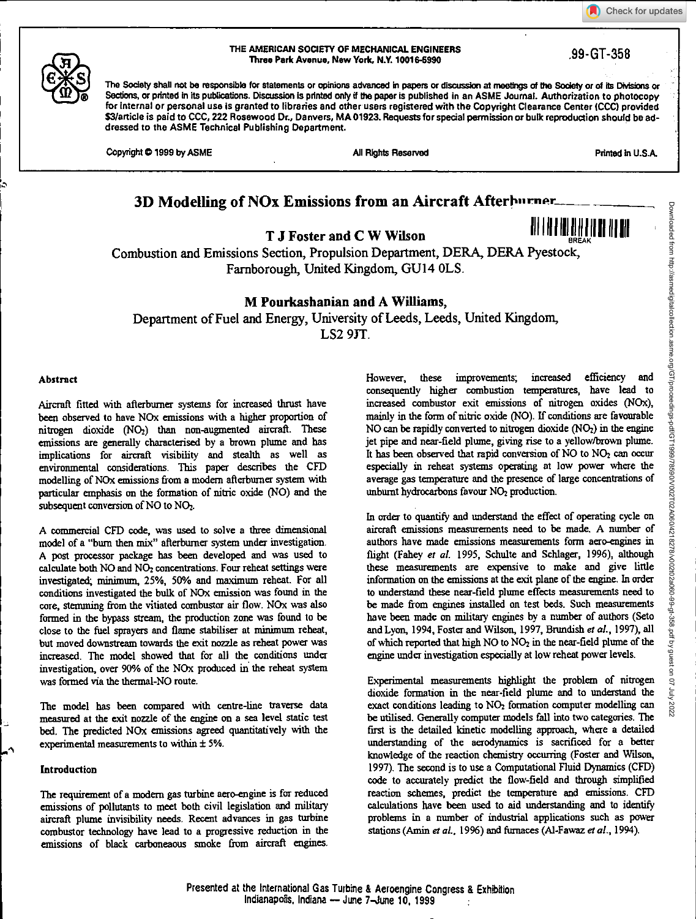Check for updates



BREAK



#### THE AMERICAN SOOETY OF MECHANICAL ENGINEERS Three Park Avenue, New York, N.Y. 10016-5990 .99-GT-358

The Society shall not be responsible for statements or opinions advanced in papers or discussion at meetings of the Society or of its Divisions or Sections, or printed in its publications. Discussion Is printed only if the paper is published in an ASME Journal. Authorization to photocopy for internal or personal use is granted to libraries and other users registered with the Copyright Clearance Center (CCC) provided \$3/article is paid to CCC, 222 Rosewood Dr., Danvers, MA 01923. Requests for special permission or bulk reproduction should be addressed to the ASME Technical Publishing Department.

Copyright © 1999 by ASME All Rights Reserved All Rights Reserved Printed in U.S.A.

# **3D Modelling of NOx Emissions from an Aircraft Afterburner...**

**T J** Foster and C W Wilson **III 111 III III III III** 

Combustion and Emissions Section, Propulsion Department, DERA, DERA Pyestock, Farnborough, United Kingdom, GU14 0LS.

**M Pourkashanian and A Williams,** 

Department of Fuel and Energy, University of Leeds, Leeds, United Kingdom, LS2 9JT.

# Abstract

Aircraft fitted with afterburner systems for increased thrust have been observed to have NOx emissions with a higher proportion of nitrogen dioxide (NO2) than non-augmented aircraft. These emissions are generally characterised by a brown plume and has implications for aircraft visibility and stealth as well as environmental considerations. This paper describes the CFD modelling of NOx emissions from a modem afterburner system with particular emphasis on the formation of nitric oxide (NO) and the subsequent conversion of NO to NO<sub>2</sub>.

A commercial CFD code, was used to solve a three dimensional model of a "burn then mix" afterburner system under investigation. A post procecsor package has been developed and was used to calculate both NO and NO<sub>2</sub> concentrations. Four reheat settings were investigated; minimum, 25%, 50% and maximum reheat. For all conditions investigated the bulk of NOx emission was found in the core, stemming from the vitiated combustor air flow. NOx was also formed in the bypass stream, the production zone was found to be close to the fuel sprayers and flame stabiliser at minimum reheat, but moved downstream towards the exit nozzle as reheat power was increased. The model showed that for all the conditions under investigation, over 90% of the NOx produced in the reheat system was formed via the thermal-NO route.

The model has been compared with centre-line traverse data measured at the exit nozzle of the engine on a sea level static test bed. The predicted NOx emissions agreed quantitatively with the experimental measurements to within ± 5%.

# **Introduction**

The requirement of a modern gas turbine aero-engine is for reduced emissions of pollutants to meet both civil legislation and military aircraft plume invisibility needs. Recent advances in gas turbine combustor technology have lead to a progressive reduction in the emissions of black carboneaous smoke from aircraft engines.

However, these improvements; increased efficiency and consequently higher combustion temperatures, have lead to increased combustor exit emissions of nitrogen oxides (N0x), mainly in the form of nitric oxide (NO). If conditions are favourable NO can be rapidly converted to nitrogen dioxide  $(NO<sub>2</sub>)$  in the engine jet pipe and near-field plume, giving rise to a yellow/brown plume. It has been observed that rapid conversion of NO to NO<sub>2</sub> can occur especially in reheat systems operating at low power where the average gas temperature and the presence of large concentrations of unburnt hydrocarbons favour NO<sub>2</sub> production.

In order to quantify and understand the effect of operating cycle on aircraft emissions measurements need to be made. A number of authors have made emissions measurements form aero-engines in flight (Fahey *et aL* 1995, Schulte and Schlager, 1996), although these measurements are expensive to make and give little information on the emissions at the exit plane of the engine. In order to understand these near-field plume effects measurements need to be made from engines installed on test beds. Such measurements have been made on military engines by a number of authors (Seto and Lyon, 1994, Foster and Wilson, 1997, Brundish et al., 1997), all of which reported that high NO to NO2 in the near-field plume of the engine under investigation especially at low reheat power levels.

Experimental measurements highlight the problem of nitrogen dioxide formation in the near-field plume and to understand the exact conditions leading to NO<sub>2</sub> formation computer modelling can be utilised. Generally computer models fall into two categories. The first is the detailed kinetic modelling approach, where a detailed understanding of the aerodynamics is sacrificed for a better knowledge of the reaction chemistry occurring (Foster and Wilson, 1997). The second is to use a Computational Fluid Dynamics (CF)) code to accurately predict the flow-field and through simplified reaction schemes, predict the temperature and emissions. CFD calculations have been used to aid understanding and to identify problems in a number of industrial applications such as power stations (Amin *et aL,* 1996) and furnaces (Al-Fawaz *et al.,* 1994).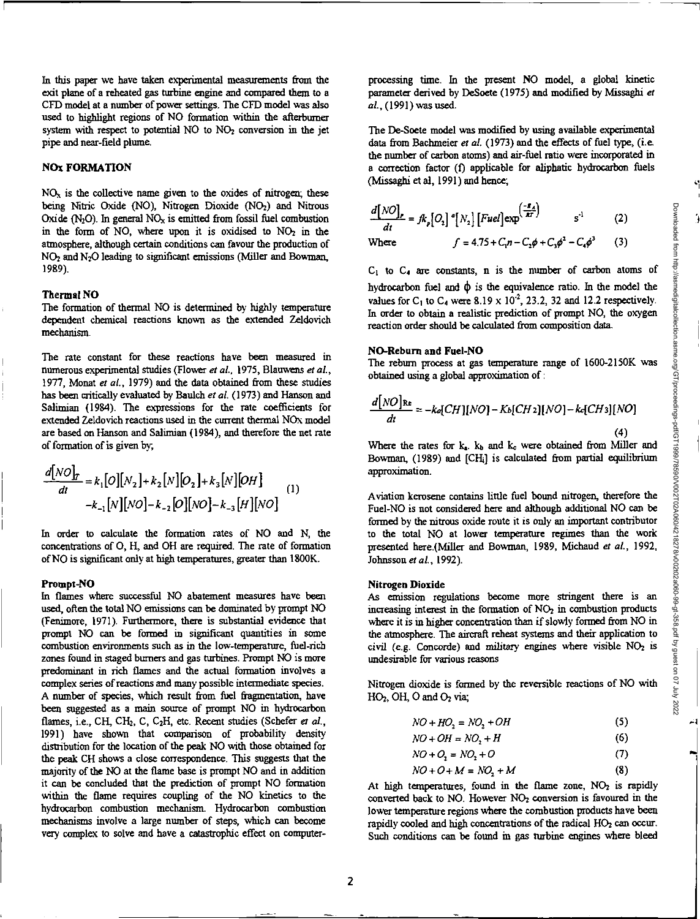'

In this paper we have taken experimental measurements from the exit plane of a reheated gas turbine engine and compared them to a CFD model at a number of power settings. The CFD model was also used to highlight regions of NO formation within the afterburner system with respect to potential  $NO$  to  $NO<sub>2</sub>$  conversion in the jet pipe and near-field plume.

# **NO: FORMATION**

 $NO<sub>x</sub>$  is the collective name given to the oxides of nitrogen; these being Nitric Oxide (NO), Nitrogen Dioxide (NO<sub>2</sub>) and Nitrous Oxide  $(N_2O)$ . In general  $NO<sub>x</sub>$  is emitted from fossil fuel combustion in the form of NO, where upon it is oxidised to  $NO<sub>2</sub>$  in the atmosphere, although certain conditions can favour the production of NO2and N20 leading to significant emissions (Miller and Bowman, 1989).

# **Thermal NO**

The formation of thermal NO is determined by highly temperature dependent chemical reactions known as the extended Zeldovich mechanism.

The rate constant for these reactions have been measured in numerous experimental studies (Flower *et at,* 1975, Blauwens *et at,*  1977, Monat *et at,* 1979) and the data obtained from these studies has been critically evaluated by Baulch *et at* (1973) and Hanson and Salimian (1984). The expressions for the rate coefficients for extended Zeldovich reactions used in the current thermal NOx model are based on Hanson and Salimian (1984), and therefore the net rate of formation of is given by;

$$
\frac{d[NO]_T}{dt} = k_1[O][N_2] + k_2[N][O_2] + k_3[N][OH]
$$
  

$$
-k_{-1}[N][NO] - k_{-2}[O][NO] - k_{-3}[H][NO]
$$
 (1)

In order to calculate the formation rates of NO and N, the concentrations of 0, H, and OH are required. The rate of formation of NO is significant only at high temperatures, greater than 1800K.

#### **Prompt-NO**

In flames where successful NO abatement measures have been used, often the total NO emissions can be dominated by prompt NO (Fenimore, 1971). Furthermore, there is substantial evidence that prompt NO can be formed in significant quantities in some combustion environments such as in the low-temperature, fuel-rich zones found in staged burners and gas turbines. Prompt NO is more predominant in rich flames and the actual formation involves a complex series of reactions and many possible intermediate species. A number of species, which result from fuel fragmentation, have been suggested as a main source of prompt NO in hydrocarbon flames, i.e., CH, CH<sub>2</sub>, C, C<sub>2</sub>H, etc. Recent studies (Schefer *et al.*, 1991) have shown that comparison of probability density distribution for the location of the peak NO with those obtained for the peak CH shows a close correspondence. This suggests that the majority of the NO at the flame base is prompt NO and in addition it can be concluded that the prediction of prompt NO formation within the flame requires coupling of the NO kinetics to the hydrocarbon combustion mechanism. Hydrocarbon combustion mechanisms involve a large number of steps, which can become very complex to solve and have a catastrophic effect on computerprocessing time. In the present NO model, a global kinetic parameter derived by DeSoete (1975) and modified by Misesghi *at at,* (1991) was used.

The De-Soete model was modified by using available experimental data from Bachmeier *et al.* (1973) and the effects of fuel type, (i.e. the number of carbon atoms) and air-fuel ratio were incorporated in a correction factor (t) applicable for aliphatic hydrocarbon fuels (Missaghi et al, 1991) and hence;

$$
\frac{d[NO]}{dt} = fk_p[O_2] \cdot [N_2] [Fuel] \exp^{\left(\frac{-B_A}{AI}\right)} \qquad s^{-1} \qquad (2)
$$

Where 
$$
f = 4.75 + C_1 n - C_2 \phi + C_3 \phi^2 - C_4 \phi^3
$$
 (3)

**CI to C4** are constants, n is the number of carbon atoms of hydrocarbon fuel and  $\phi$  is the equivalence ratio. In the model the values for C<sub>1</sub> to C<sub>4</sub> were 8.19 x 10<sup>-2</sup>, 23.2, 32 and 12.2 respectively. In order to obtain a realistic prediction of prompt NO, the oxygen reaction order should be calculated from composition data.

#### **NO-Reburn and Fuel-NO**

The rebum process at gas temperature range of 1600-2150K was obtained using a global approximation of :

$$
\frac{d[NO]_{\text{Re}}}{dt} = -k_{\text{Re}}[CH][NO] - K_{\text{Re}}[CH_2][NO] - k_{\text{Re}}[CH_3][NO]
$$
\n(4)

Where the rates for  $k_a$ .  $k_b$  and  $k_c$  were obtained from Miller and Bowman, (1989) and [CIL] is calculated from partial equilibrium approximation.

Aviation kerosene contains little fuel bound nitrogen, therefore the Fuel-NO is not considered here and although additional NO can be formed by the nitrous oxide route it is only an important contributor to the total NO at lower temperature regimes than the work presented here.(Miller and Bowman, 1989, Michaud *et aL,* 1992, Johnsson *et aL,* 1992).

#### **Nitrogen Dioxide**

As emission regulations become more stringent there is an increasing interest in the formation of  $NO<sub>2</sub>$  in combustion products where it is in higher concentration than if slowly formed from NO in the atmosphere. The aircraft reheat systems and their application to civil *(e.g.* Concorde) *and military engines* where visible NO2 is undesirable for various reasons

Nitrogen dioxide is formed by the reversible reactions of NO with  $HO<sub>2</sub>$ , OH, O and  $O<sub>2</sub>$  via;

$$
NO + HO2 = NO2 + OH
$$
 (5)

$$
NO + OH = NO2 + H \tag{6}
$$

$$
NO + O_2 = NO_2 + O \tag{7}
$$

$$
NO + O + M = NO2 + M
$$
 (8)

At high temperatures, found in the flame zone,  $NO<sub>2</sub>$  is rapidly converted back to NO. However NO<sub>2</sub> conversion is favoured in the lower temperature regions where the combustion products have been rapidly cooled and high concentrations of the radical HO<sub>2</sub> can occur. Such conditions can be found in gas turbine engines where bleed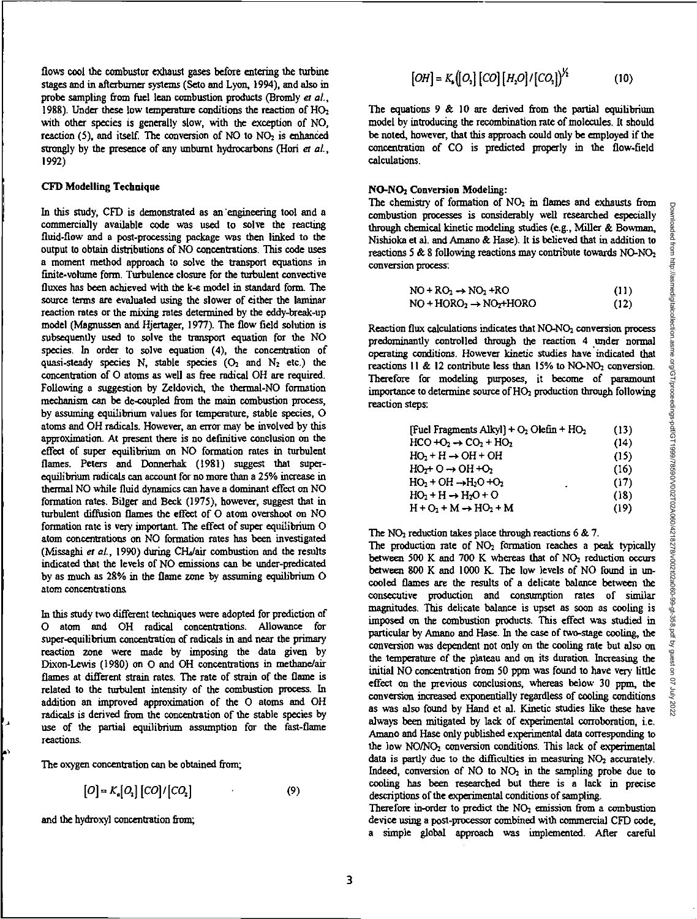flows cool the ccrmbustor exhaust gases before entering the turbine stages and in afterburner systems (Seto and Lyon, 1994), and also in probe sampling from fuel lean combustion products (Bromly *et aL,*  1988). Under these low temperature conditions the reaction of HO<sub>2</sub> with other species is generally slow, with the exception of NO, reaction  $(5)$ , and itself. The conversion of NO to NO<sub>2</sub> is enhanced strongly by the presence of any unbumt hydrocarbons (Hori *et aL,*  1992)

# **CFD Modelling Technique**

In this study, CFD is demonstrated as an 'engineering tool and a commercially available code was used to solve the reacting fluid-flow and a post-processing package was then linked to the output to obtain distributions of NO concentrations. This code uses a moment method approach to solve the transport equations in finite-volume form. Turbulence closure for the turbulent convective fluxes has been achieved with the k-c model in standard form. The source terms are evaluated using the slower of either the laminar reaction rates or the mixing rates determined by the eddy-break-up model (Magnussen and Hjertager, 1977). The flow field solution is subsequently used to solve the transport equation for the NO species. In order to solve equation (4), the concentration of quasi-steady species N, stable species  $(O_2 \text{ and } N_2 \text{ etc.})$  the concentration of 0 atoms as well as free radical OH are required. Following a suggestion by Zeldovich, the thermal-NO formation mechanism can be de-coupled from the main combustion process, by assuming equilibrium values for temperature, stable species, 0 atoms and OH radicals. However, an error may be involved by this approximation. At present there is no definitive conclusion on the effect of super equilibrium on NO formation rates in turbulent flames. Peters and Donnerhak (1981) suggest that superequilibrium radicals can account for no more than a 25% increase in thermal NO while fluid dynamics can have a dominant effect on NO fommtion rates. Bilger and Beck (1975), however, suggest that in turbulent diffusion flames the effect of O atom overshoot on NO formation rate is very important. The effect of super equilibrium 0 atom concentrations on NO formation rates has been investigated (Missaghi et al., 1990) during CH<sub>4</sub>/air combustion and the results indicated that the levels of NO emissions can be under-predicated by as much as 28% in the flame zone by assuming equilibrium **0**  atom concentrations.

In this study two different techniques were adopted for prediction of 0 atom and OH radical concentrations. Allowance for super-equilibrium concentration of radicals in and near the primary reaction zone were made by imposing the data given by Dixon-Lewis (1980) on 0 and OH concentrations in methane/air flames at different strain rates. The rate of strain of the flame is related to the turbulent intensity of the combustion process. In addition an improved approximation of the 0 atoms and OH radicals is derived from the concentration of the stable species by use of the partial equilibrium assumption for the fast-flame reactions.

The oxygen concentration can be obtained from;

$$
[O] = K_a [O_2] [CO]/[CO_2]
$$
 (9)

and the hydroxyl concentration from;

$$
[OH] = K_s([O_s] [CO] [H_2O]/[CO_s])^{1/2}
$$
 (10)

The equations  $9 \& 10$  are derived from the partial equilibrium model by introducing the recombination rate of molecules. It should be noted, however, that this approach could only be employed if the concentration of CO is predicted properly in the flow-field calculations.

# NO-NO2 **Conversion Modeling:**

The chemistry of formation of NO2 *in flames* and exhausts from combustion processes is considerably well researched especially through chemical kinetic modeling studies (e.g., Miller & Bowman, Nishioka et al. and Amano & Hase). It is believed that in addition to reactions 5 & 8 following reactions may contribute towards NO-NO<sub>2</sub> conversion process:

$$
NO + RO_2 \rightarrow NO_2 + RO \tag{11}
$$

$$
NO + HORO2 \rightarrow NO2+HORO
$$
 (12)

Reaction flux calculations indicates that NO-NO<sub>2</sub> conversion process predominantly controlled through the reaction 4 under normal operating conditions. However kinetic *studies* have indicated that reactions 11 & 12 contribute less than 15% to NO-NO<sub>2</sub> conversion. Therefore for modeling purposes, it become of paramount importance to determine source of H02 production through following reaction steps:

| [Fuel Fragments Alkyl] + $O_2$ Olefin + $HO_2$ | (13) |
|------------------------------------------------|------|
| $HCO + O2 \rightarrow CO2 + HO2$               | (14) |
| $HO_2 + H \rightarrow OH + OH$                 | (15) |
| $HO2+O \rightarrow OH +O2$                     | (16) |
| $HO2 + OH \rightarrow H2O + O2$<br>٠           | (17) |
| $HO2 + H \rightarrow H2O + O$                  | (18) |
| $H + O2 + M \rightarrow HO2 + M$               | (19) |

The  $NO<sub>2</sub>$  reduction takes place through reactions 6 & 7.

The production rate of  $NO<sub>2</sub>$  formation reaches a peak typically between 500 K and 700 K whereas that of  $NO<sub>2</sub>$  reduction occurs between 800 K and 1000 K. The low levels of NO found in uncooled flames are the results of a delicate balance between the consecutive production and consumption rates of similar magnitudes. This delicate balance is upset as soon as cooling is imposed on the combustion products. This effect was studied in particular by Amano and Hese. In the case of two-stage cooling, the conversion was dependent not only on the cooling rate but also on the temperature of the plateau and on its duration. Increasing the initial NO concentration from 50 ppm was found to have *very* little effect on the previous conclusions, whereas below 30 ppm, the conversion increased exponentially regardless of cooling conditions as was also found by Hand et al. Kinetic studies like these have always been mitigated by lack of experimental corroboration, i.e. Amano and Hese only published experimental data corresponding to the low NO/NO<sub>2</sub> conversion conditions. This lack of experimental data is partly due to the difficulties in measuring  $NO<sub>2</sub>$  accurately. Indeed, conversion of NO to NO<sub>2</sub> in the sampling probe due to cooling *has* been researched but there is a lack in precise descriptions of the experimental conditions of sampling.

Therefore in-order to predict the  $NO<sub>2</sub>$  emission from a combustion device using a post-processor combined with commercial CFD code, a simple global approach was implemented. After careful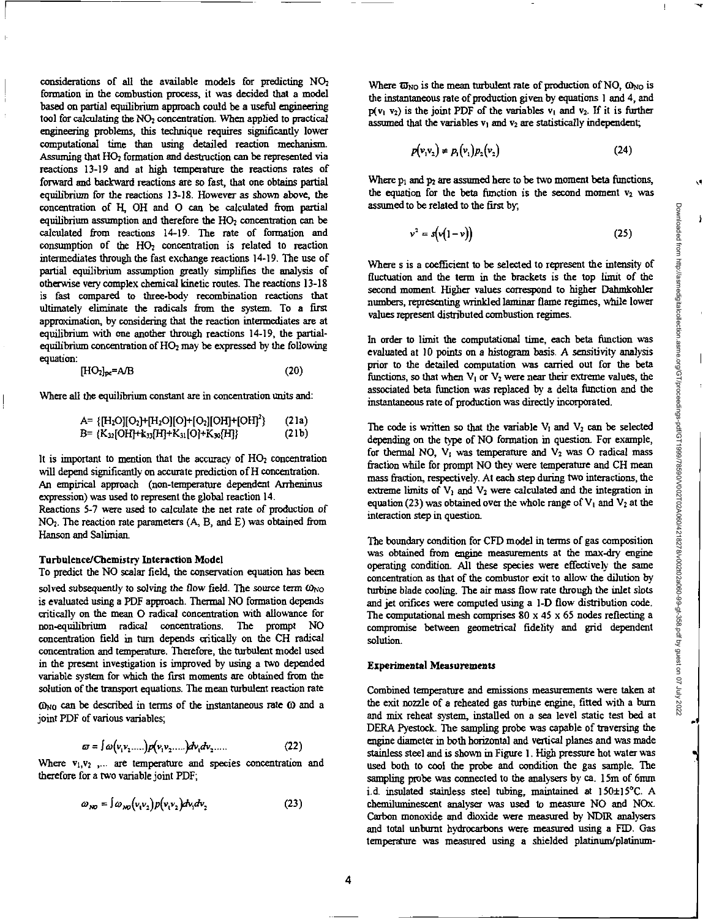considerations of all the available models for predicting NO2 formation in the combustion process, it was decided that a model based on partial equilibrium approach could be a useful engineering tool for calculating the NO<sub>2</sub> concentration. When applied to practical engineering problems, this technique requires significantly lower computational time than using detailed reaction mechanism. Assuming that HO<sub>2</sub> formation and destruction can be represented via reactions 13-19 and at high temperature the reactions rates of forward and backward reactions are so fast, that one obtains partial equilibrium for the reactions 13-18. However as shown above, the concentration of H, OH and 0 can be calculated from partial equilibrium assumption and therefore the  $HO<sub>2</sub>$  concentration can be calculated from reactions 14-19. The rate of formation and consumption of the  $HO<sub>2</sub>$  concentration is related to reaction intermediates through the fast exchange reactions 14-19. The use of partial equilibrium assumption greatly simplifies the analysis of otherwise very complex chemical kinetic routes. The reactions 13-18 is fast compared to three-body recombination reactions that ultimately eliminate the radicals from the system. To a first approximation, by considering that the reaction intermediates are at equilibrium with one another through reactions 14-19, the partialequilibrium concentration of  $HO<sub>2</sub>$  may be expressed by the following equation:

$$
[\mathrm{HO}_2]_{\mathrm{pc}} = \mathrm{A/B} \tag{20}
$$

Where all the equilibrium constant are in concentration units and:

([1-120][02)+Pir0)[0]+[02][0H110H12 ) (21a) B= (1C32(OHP-k33[H]+K31[01+K341111 (21b)

It is important to mention that the accuracy of HO, concentration will depend significantly on accurate prediction of H concentration. An empirical approach (non-temperature dependent Arrheninus expression) was used to represent the global reaction 14.

Reactions 5-7 were *used to calculate the* net rate of production of NO2. The reaction rate parameters (A, B, and E) was obtained from Hanson and Salimian.

#### Turbulence/Chemistry Interaction Model

To predict the NO scalar field, the conservation equation has been

solved *subsequently* to solving the flow field. The source term  $\omega_{\text{NO}}$ is evaluated using a PDF approach. Thermal NO formation depends critically on the mean 0 radical concentration with allowance for non-equilibrium radical concentrations. The prompt NO concentration field in turn depends critically on the CH radical concentration and temperature. Therefore, the turbulent model used in the present investigation is improved by using a two depended variable system for which the first moments are obtained from the solution of the transport equations. The mean turbulent reaction rate

 $\omega_{NQ}$  can be described in terms of the instantaneous rate  $\omega$  and a joint PDF of various variables;

$$
\varpi = \int \omega \big( v_1 v_2 \dots \big) p \big( v_1 v_2 \dots \big) dv_1 dv_2 \dots \tag{22}
$$

Where  $v_1, v_2$  ,... are temperature and species concentration and therefore for a two variable joint PDF;

$$
\omega_{\kappa\sigma} = \int \omega_{\kappa\sigma} (v_1 v_2) p(v_1 v_2) dv_1 dv_2 \tag{23}
$$

Where  $\overline{\omega}_{NO}$  is the mean turbulent rate of production of NO,  $\omega_{NO}$  is the instantaneous rate of production given by equations 1 and 4, and  $p(v_1, v_2)$  is the joint PDF of the variables  $v_1$  and  $v_2$ . If it is further assumed that the variables  $v_1$  and  $v_2$  are statistically independent;

$$
p(v_1v_2) \neq p_1(v_1)p_2(v_2)
$$
 (24)

Where  $p_1$  and  $p_2$  are assumed here to be two moment beta functions, the equation for the beta function is the second moment  $v_2$  was assumed to be related to the first by,

$$
v^2 = s(v(1-v))
$$
 (25)

Where s is a coefficient to be selected to represent the intensity of fluctuation and the term in the brackets is the top limit of the second moment. Higher values correspond to higher Dahmkohler numbers, representing wrinkled laminar flame regimes, while lower values represent distributed combustion regimes.

In order to limit the computational time, each beta function *was evaluated at 10 points on a histogram* basis. A *sensitivity* analysis prior to the detailed computation was carried out for the beta functions, so that when  $V_1$  or  $V_2$  were near their extreme values, the associated beta function was replaced by a delta function and the instantaneous rate of production was directly incorporated.

The code is written so that the variable  $V_1$  and  $V_2$  can be selected depending on the type of NO formation in question. For example, for thermal NO,  $V_1$  was temperature and  $V_2$  was O radical mass fraction while for prompt NO they were temperature and CH mean mass fraction, respectively. At each step during two interactions, the extreme limits of  $V_1$  and  $V_2$  were calculated and the integration in equation (23) was obtained over the whole range of  $V_1$  and  $V_2$  at the interaction step in question.

The boundary condition for CFD model in terms of gas composition was obtained from engine measurements at the max-dry engine operating condition. All these species were effectively the same concentration as that of the combustor exit to allow the dilution by turbine blade cooling. The air mass flow rate through the inlet slots and jet orifices were computed using a 1-D flow distribution code. The computational mesh comprises  $80 \times 45 \times 65$  nodes reflecting a compromise between geometrical fidelity and grid dependent solution.

## **Experimental Measurements**

Combined temperature and emissions measurements were taken at the exit nozzle of a reheated gas turbine engine, fitted with a burn and mix reheat system, installed on a sea level static test bed at DERA Pyestock. The sampling probe was capable of traversing the engine diameter in both horizontal and vertical planes and was made stainless steel and is shown in Figure 1. High pressure hot water was used both to cool the probe and condition the gas sample. The sampling probe was connected to the analysers by ca. 15m of 6mm i.d. insulated stainless steel tubing, maintained at 150±15°C. A chemiluminescent analyser was used to measure NO and NOx. Carbon monoxide and dioxide were measured by NDIR analysers and total unbumt hydrocarbons were measured using a FID. Gas temperature was measured using a shielded platinum/platinumŌ.

 $\lambda$ 

√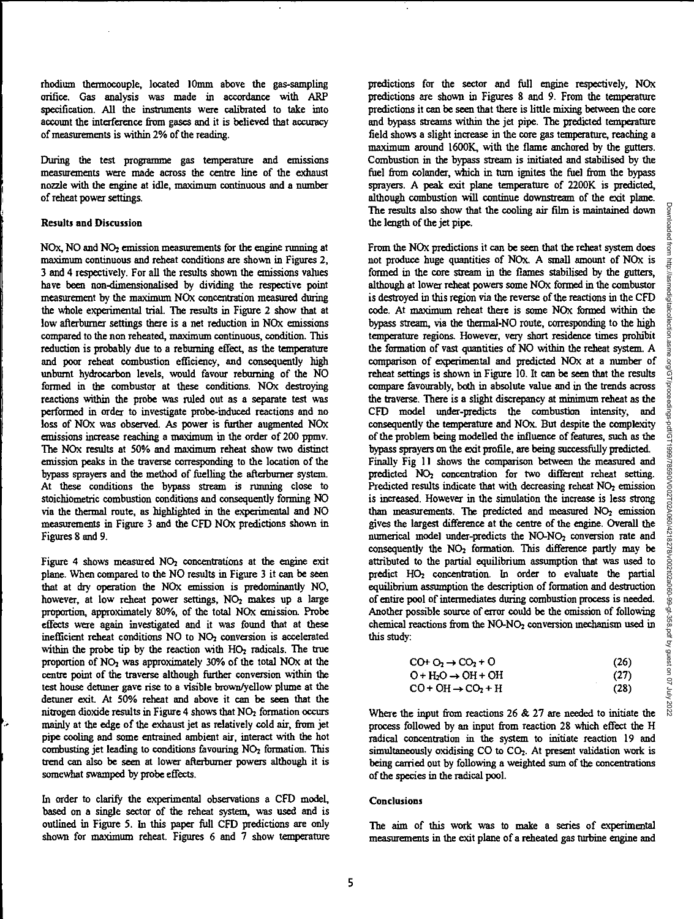rhodium thermocouple, located 10mm above the gas-sampling orifice. Gas analysis was made in accordance with ARP specification. All the instruments were calibrated to take into account the interference from gases and it is believed that accuracy of measurements is within 2% of the reading.

During the test programme gas temperature and emissions measurements were made across the centre line of the exhaust nozzle with the engine at idle, maximum continuous and a number of reheat power settings.

## Results and Discussion

NOx, NO and NO<sub>2</sub> emission measurements for the engine running at maximum continuous and reheat conditions are shown in Figures 2, 3 and 4 respectively. For all the results shown the emissions values have been non-dimensionalised by dividing the respective point measurement by the maximum NOx concentration measured during the whole experimental trial. The results in Figure 2 show that at low afterburner settings there is a net reduction in NOx emissions compared to the non reheated, maximum continuous, condition. This reduction is probably due to a rebuming effect, as the temperature and poor reheat combustion efficiency, and consequently high unburnt hydrocarbon levels, would favour rebuming of the NO formed in the combustor at these conditions. NOx destroying reactions within the probe was ruled out as a separate test was performed in order to investigate probe-induced reactions and no loss of NOx was observed. As power is further augmented NOx emissions increase reaching a maximum in the order of 200 ppmv. The NOx results at 50% and maximum reheat show two distinct emission peaks in the traverse corresponding to the location of the bypass sprayers and the method of fuelling the afterburner system. At these conditions the bypass stream is running close to stoichiometric combustion conditions and consequently forming NO via the thermal route, as highlighted in the experimental and NO measurements in Figure 3 and the CFD NOx predictions shown in Figures 8 and 9.

Figure 4 shows measured  $NO<sub>2</sub>$  concentrations at the engine exit plane. When compared to the NO results in Figure 3 it can be seen that at dry operation the NOx emission is predominantly NO, however, at low reheat power settings, NO<sub>2</sub> makes up a large proportion, approximately 80%, of the total NOx emission. Probe effects were again investigated and it was found that at these inefficient reheat conditions NO to NO2 conversion is accelerated within the probe tip by the reaction with HO<sub>2</sub> radicals. The true proportion of  $NO<sub>2</sub>$  was approximately 30% of the total  $NOx$  at the centre point of the traverse although further conversion within the test house dettmer gave rise to a visible brown/yellow plume at the detuner exit. At 50% reheat and above it can be seen that the nitrogen dioxide results in Figure 4 shows that  $NO<sub>2</sub>$  formation occurs mainly at the edge of the exhaust jet as relatively cold air, from jet pipe cooling and some entrained ambient air, interact with the hot combusting jet leading to conditions favouring NO<sub>2</sub> formation. This trend can also be seen at lower afterburner powers although it is somewhat swamped by probe effects.

In order to clarify the experimental observations a CFD model, based on a single sector of the reheat system, was used and is outlined in Figure 5. In this paper full CFD predictions are only shown for maximum reheat. Figures 6 and 7 show temperature

predictions for the sector and full engine respectively, NOx predictions are shown in Figures 8 and 9. From the temperature predictions it can be seen that there is little mixing between the core and bypass streams within the jet pipe. The predicted temperature field shows a slight increase in the core gas temperature, reaching a maximum around 1600K, with the flame anchored by the gutters. Combustion in the bypass stream is initiated and stabilised by the fuel from colander, which in turn ignites the fuel from the bypass sprayers. A peak exit plane temperature of 2200K is predicted, although combustion will continue downstream of the exit plane. The results also show that the cooling air film is maintained down the length of the jet pipe.

From the NOx predictions it can be seen that the reheat system does not produce huge quantities of NOx A small amount of NOx is formed in the core stream in the flames stabilised by the gutters, although at lower reheat powers some NOx formed in the combustor is destroyed in this region via the reverse of the reactions in the CFD code. At maximum reheat there is some NOx formed within the bypass stream, via the thermal -NO route, corresponding to the high temperature regions. However, very short residence times prohibit the formation of vast quantities of NO within the reheat system. A comparison of experimental and predicted NOx at a number of reheat settings is shown in Figure 10. It can be seen that the results compare favourably, both in absolute value and in the trends across the traverse. There is a slight discrepancy at minimum reheat as the CFD model under-predicts the combustion intensity, and consequently the temperature and NO<sub>x</sub>. But despite the complexity of the problem being modelled the influence of features, such as the bypass sprayers on the exit profile, are being successfully predicted. Finally Fig 11 shows the comparison between the measured and predicted NO<sub>2</sub> concentration for two different reheat setting. Predicted results indicate that with decreasing reheat NO<sub>2</sub> emission is increased. However in the simulation the increase is less strong than measurements. The predicted and measured  $NO<sub>2</sub>$  emission gives the largest difference at the centre of the engine. Overall the numerical model under-predicts the NO-NO<sub>2</sub> conversion rate and consequently the  $NO<sub>2</sub>$  formation. This difference partly may be attributed to the partial equilibrium assumption that was used to predict HO<sub>2</sub> concentration. In order to evaluate the partial equilibrium assumption the description of formation and destruction of entire pool of intermediates during combustion process is needed. Another possible source of error could be the omission of following chemical reactions from the NO-NO<sub>2</sub> conversion mechanism used in this study:

| $CO+O2 \rightarrow CO2 + O$    | (26) |
|--------------------------------|------|
| $O + H2O \rightarrow OH + OH$  | (27) |
| $CO + OH \rightarrow CO_2 + H$ | (28) |

Where the input from reactions 26 & 27 are needed to initiate the process followed by an input from reaction 28 which effect the H radical concentration in the system to initiate reaction 19 and simultaneously oxidising CO to CO<sub>2</sub>. At present validation work is being carried out by following a weighted sum of the concentrations of the species in the radical pool.

## **Conclusions**

The aim of this work was to make a series of experimental measurements in the exit plane of a reheated gas turbine engine and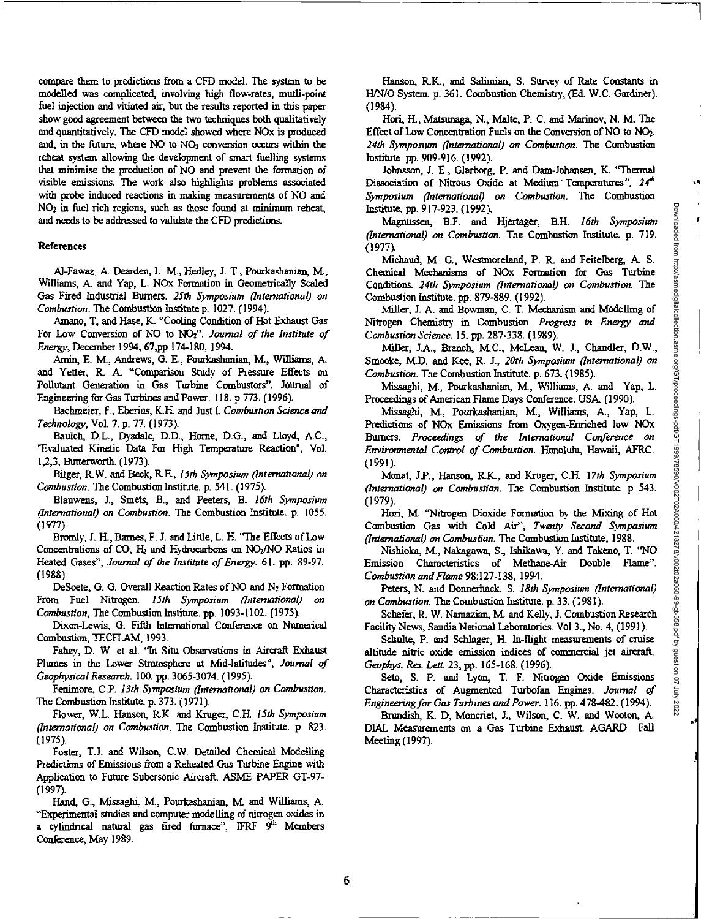.4

compare them to predictions from a CFD model. The system to be modelled was complicated, involving high flow-rates, mutli-point fuel injection and vitiated air, but the results reported in this paper show good agreement between the two techniques both qualitatively and quantitatively. The CFD model showed where NOx is produced and, in the future, where  $NO$  to  $NO<sub>2</sub>$  conversion occurs within the reheat system allowing the development of smart fuelling systems that minimise the production of NO and prevent the formation of visible emissions. The work also highlights problems associated with probe induced reactions in making measurements of NO and NO2 in fuel rich regions, such as those found at minimum reheat, and needs to be addressed to validate the CFD predictions.

## References

Al-Fawaz, A Dearden, L. M., Heclley, J. T., Pourkashanian, M., Williams, A and Yap, L. NOx Formation in Geometrically Scaled Gas Fired Industrial Burners, *25th Symposium (International) on Combustion.* The Combustion Institute p. 1027. (1994).

Amano, T, and Hose, K. "Cooling Condition of Hot Exhaust Gas For Low Conversion of NO to NO2". *Journal of the Institute of Energy,* December 1994, 67,pp 174-180, 1994.

Amin, E. M., Andrews, G. E., Pourkashanian, M., Williams, A. and Yetter, R. A. "Comparison Study of Pressure Effects on Pollutant Generation in Gas Turbine Combustors". Journal of Engineering for Gas Turbines and Power. 118.p 773. (1996).

Rothmeier, F., Eberius, K.H. and Just I. *Combustion Science and Technology,* Vol. 7. p. 77. (1973).

Baulch, D.L., Dysdale, D.D., Home, D.G., and Lloyd, AC., 'Evaluated Kinetic Data For High Temperature Reaction', Vol. 1,2,3, Butterworth. (1973).

Bllger, R.W. and Beck, R.E., *15th Symposium (international) on Combustion.* The Combustion Institute. p. 541. (1975).

Blauwens, J., Smets, B., and Peeters, B. *16th Symposium (International) on Combustion.* The Combustion Institute. p. 1055. (1977).

Bromly, J. FL, Barnes, F. J. and Little, L. H. "The Effects of Low Concentrations of CO,  $H_2$  and Hydrocarbons on NO<sub>2</sub>/NO Ratios in Heated *Gases", Journal of the Institute of Energy.* 61. pp. 89-97. (1988).

DeSoete, G. G. Overall Reaction Rates of NO and  $N_2$  Formation From Fuel Nitrogen. *15th Symposium (international) on Combustion,* The Combustion Institute. pp. 1093-1102. (1975).

Dixon-Lewis, G. Fifth International Conference on Numerical Combustion, TECFLAM, 1993.

Fahey, D. W. et al. "In Situ Observations in Aircraft Exhaust Plumes in the Lower Stratosphere at Mid-latitudes", *Journal of Geophysical Research.* 100. pp. 3065-3074. (1995).

Fenimore, C.P. *13th Symposium (International) on Combustion.*  The Combustion Institute. p.373. (1971).

Flower, W.L. Hanson, R.K. and Kruger, C.H. *15th Symposium (International) on Combustion.* The Combustion Institute. p. 823. (1975).

Foster, T.J. and Wilson, C.W. Detailed Chemical Modelling Predictions of *Emissions* from *a Reheated* Gas Turbine Engine with Application to Future Subersonic Aircraft. ASME PAPER GT-97- (1997).

Hand, G., Missaghi, M., Pourkashanian, M. and Williams, A. "Experimental studies and computer modelling of nitrogen oxides in a cylindrical natural gas fired furnace", IFRF  $9<sup>th</sup>$  Members Conference, May 1989.

Hanson, R.K., and Salimian, S. Survey of Rate Constants in H/N/0 System. p. 361. Combustion Chemistry, (Ed. W.C. Gardiner). (1984).

Hori, FL, Matstmaga, N., Melte, P. C. and Marinov, N. M. The Effect of Low Concentration Fuels on the Conversion of NO to NO2. *24th Symposium (International) on Combustion.* The Combustion Institute. pp. 909-916. (1992).

Jolmsson, J. E., Glarborg, P. and Dam-Johansen, K. "Thermal Dissociation of Nitrous Oxide at Medium Temperatures", 24<sup>th</sup> *Symposium (International) on Combustion.* The Combustion Institute. pp. 917-923. (1992).

Magninsen, B.F. and Hjertager, B.H. *16th Symposium (International) on Combustion.* The Combustion Institute. p. 719. (1977).

Michaud, M. G., Westmoreland, P. R. and Feitelberg, A. S. Chemical Mechanisms of NOx Formation for Gas Turbine Conditions. *24th Symposium (International) on Combustion.* The Combustion Institute. pp. 879-889. (1992).

Miller, J. A. and Bowman, C. T. Mechanism and Modelling of Nitrogen Chemistry in Combustion. *Progress in Energy and Combustion Science.* 15. pp. 287-338. (1989).

Miller, JA., Branch, MC., McLean, W. J., Chandler, D.W., Smooke, M.D. and Kee, R. *J., 20th Symposium (International) on Combustion.* The Combustion Institute. p. 673. (1985).

Missaghi, M., Pourkashanian, M., Williams, A. and Yap, L. Proceedings of American Flame Days Conference. USA. (1990).

Missaghi, M., Pourkashanian, M., Williams, A., Yap, L. Predictions of NOx Emissions from Oxygen-Enriched low NOx Burners. *Proceedings of the International Conference on Environmental Control of Combustion.* Honolulu, Hawaii, AFRC. (1991).

Monat, LP., Hanson, R.K., and Kruger, C.H. 17th *Symposium (International) on Combustion.* The Combustion Institute. p 543. (1979).

Non, M. "Nitrogen Dioxide Formation by the Mixing of Hot Combustion Gas with Cold Air", *Twenty Second Symposium (International) on Combustion.* The Combustion Institute, 1988.

Nishioka, M., Nakagawa, S., Ishikawa, Y. and Takeno, T. "NO Emission Characteristics of Methane-Air Double Flame". *Combustion and Flame* 98:127-138, 1994.

Peters, N. and Donnexhack. S. *18th Symposium (International) on Combustion.* The Combustion Institute. p.33. (1981).

Schefer, R. W. Namazian, M. and Kelly, J. Combustion Research Facility News, Sandia National Laboratories. Vol 3., No. 4, (1991).

Schulte, P. and Schlager, H. In-flight measurements of cruise altitude nitric oxide emission indices of commercial jet aircraft

*Geophys. Res. Len.* 23, pp. 165-168. (1996). Seto, S. P. and Lyon, T. F. Nitrogen Oxide Emissions Characteristics of Augmented Turbofan Engines. *Journal of Engineering for Gas Turbines and Power.* 116. pp. 478-482. (1994).

Brimdish, K. D, Moncriet, J., Wilson, C. W. and Wooton, A. DIAL Measurements on a Gas Turbine Exhaust. AGARD Fall Meeting (1997).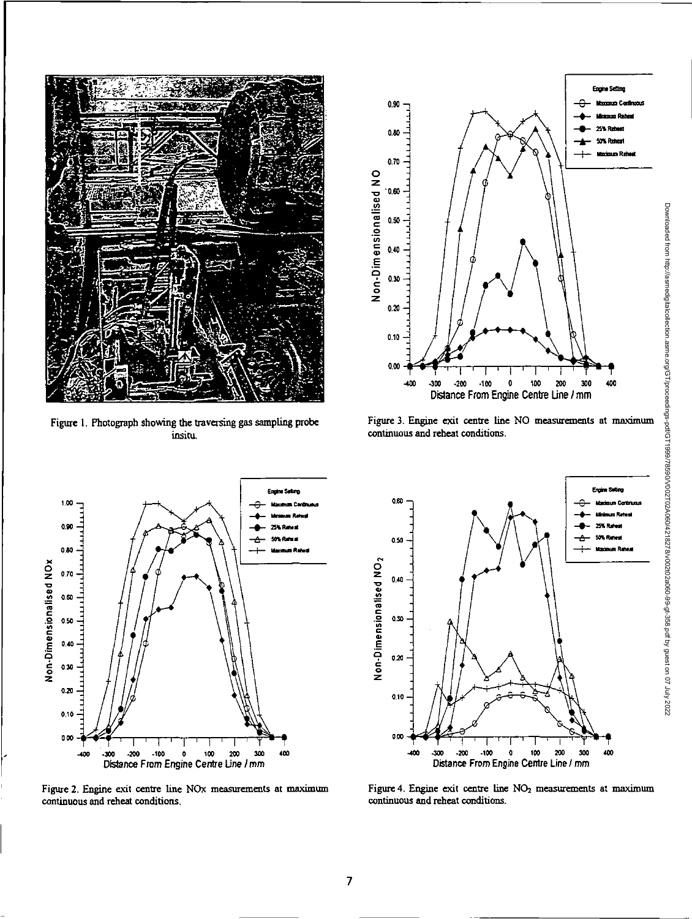

Figure 1. Photograph showing the traversing gas sampling probe insitu.



Figure 3. Engine exit centre line NO measurements at maximum continuous and reheat conditions.



Figure 2. Engine exit centre line NOx measurements at maximum continuous and reheat conditions.



Figure 4. Engine exit centre line NO<sub>2</sub> measurements at maximum continuous and reheat conditions.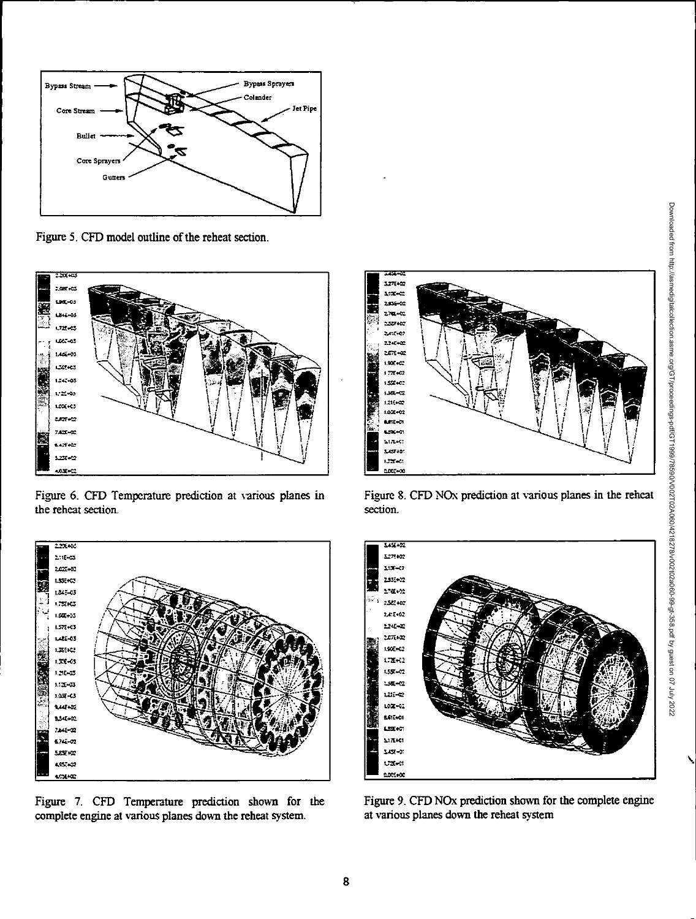

Figure 5. CFD model outline of the reheat section.



Figure 6. CFD Temperature prediction at various planes in the reheat section.



Figure 7. CFD Temperature prediction shown for the complete engine at various planes down the reheat system.



Figure 8. CFD NO<sub>x</sub> prediction at various planes in the reheat section.



Figure 9. CFD NOx prediction shown for the complete engine at various planes down the reheat system